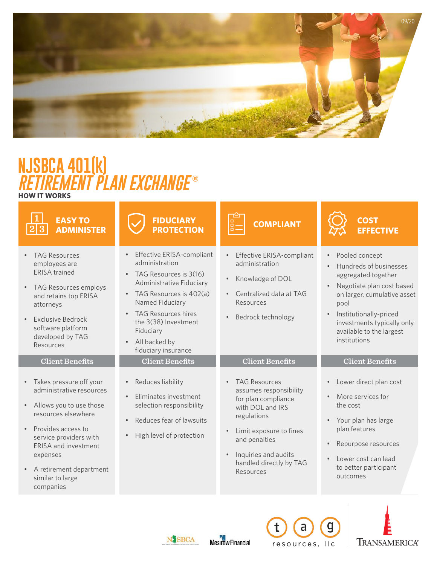

# **HOW IT WORKS NJSBCA 401(k)** *RETIREMENT PLAN EXCHANGE* **®**

| <b>EASY TO</b><br><b>ADMINISTER</b>                                                                                                                                                                                                                                                                                           | <b>FIDUCIARY</b><br><b>PROTECTION</b>                                                                                                                                                                                                                                                                            | <b>COMPLIANT</b>                                                                                                                                                                                                                               | <b>COST</b><br><b>EFFECTIVE</b>                                                                                                                                                                                                                                                             |
|-------------------------------------------------------------------------------------------------------------------------------------------------------------------------------------------------------------------------------------------------------------------------------------------------------------------------------|------------------------------------------------------------------------------------------------------------------------------------------------------------------------------------------------------------------------------------------------------------------------------------------------------------------|------------------------------------------------------------------------------------------------------------------------------------------------------------------------------------------------------------------------------------------------|---------------------------------------------------------------------------------------------------------------------------------------------------------------------------------------------------------------------------------------------------------------------------------------------|
| <b>TAG Resources</b><br>$\bullet$<br>employees are<br><b>ERISA</b> trained<br>TAG Resources employs<br>$\bullet$<br>and retains top ERISA<br>attorneys<br><b>Exclusive Bedrock</b><br>software platform<br>developed by TAG<br>Resources                                                                                      | Effective ERISA-compliant<br>$\bullet$<br>administration<br>TAG Resources is 3(16)<br>$\bullet$<br>Administrative Fiduciary<br>• TAG Resources is 402(a)<br>Named Fiduciary<br><b>TAG Resources hires</b><br>$\bullet$<br>the 3(38) Investment<br>Fiduciary<br>All backed by<br>$\bullet$<br>fiduciary insurance | Effective ERISA-compliant<br>administration<br>Knowledge of DOL<br>Centralized data at TAG<br>Resources<br>Bedrock technology                                                                                                                  | Pooled concept<br>$\bullet$<br>Hundreds of businesses<br>$\bullet$<br>aggregated together<br>Negotiate plan cost based<br>$\bullet$<br>on larger, cumulative asset<br>pool<br>Institutionally-priced<br>$\bullet$<br>investments typically only<br>available to the largest<br>institutions |
| <b>Client Benefits</b><br>Takes pressure off your<br>$\bullet$<br>administrative resources<br>Allows you to use those<br>$\bullet$<br>resources elsewhere<br>Provides access to<br>service providers with<br><b>ERISA and investment</b><br>expenses<br>A retirement department<br>$\bullet$<br>similar to large<br>companies | <b>Client Benefits</b><br>Reduces liability<br>$\bullet$<br>Fliminates investment<br>$\bullet$<br>selection responsibility<br>Reduces fear of lawsuits<br>High level of protection                                                                                                                               | <b>Client Benefits</b><br><b>TAG Resources</b><br>assumes responsibility<br>for plan compliance<br>with DOL and IRS<br>regulations<br>Limit exposure to fines<br>and penalties<br>Inquiries and audits<br>handled directly by TAG<br>Resources | <b>Client Benefits</b><br>Lower direct plan cost<br>$\bullet$<br>More services for<br>$\bullet$<br>the cost<br>Your plan has large<br>$\bullet$<br>plan features<br>Repurpose resources<br>$\bullet$<br>Lower cost can lead<br>$\bullet$<br>to better participant<br>outcomes               |





 $\overline{a}$ 

resources, IIc

g

**TRANSAMERICA®** 

 $\mathbf{t}$